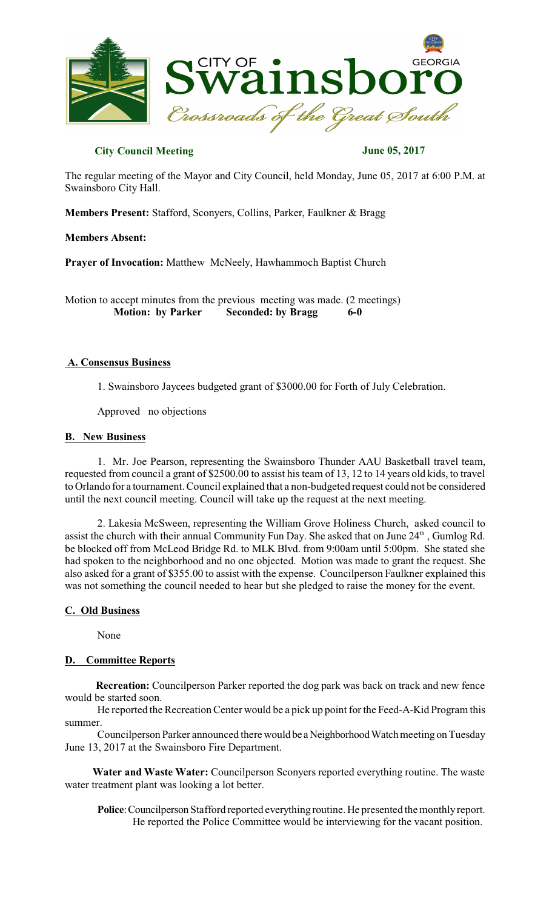

## **City Council Meeting June 05, 2017**

The regular meeting of the Mayor and City Council, held Monday, June 05, 2017 at 6:00 P.M. at Swainsboro City Hall.

**Members Present:** Stafford, Sconyers, Collins, Parker, Faulkner & Bragg

**Members Absent:**

**Prayer of Invocation:** Matthew McNeely, Hawhammoch Baptist Church

Motion to accept minutes from the previous meeting was made. (2 meetings)  **Motion: by Parker Seconded: by Bragg 6-0** 

### **A. Consensus Business**

1. Swainsboro Jaycees budgeted grant of \$3000.00 for Forth of July Celebration.

Approved no objections

### **B. New Business**

1. Mr. Joe Pearson, representing the Swainsboro Thunder AAU Basketball travel team, requested from council a grant of \$2500.00 to assist histeam of 13, 12 to 14 years old kids, to travel to Orlando for a tournament. Council explained that a non-budgeted request could not be considered until the next council meeting. Council will take up the request at the next meeting.

2. Lakesia McSween, representing the William Grove Holiness Church, asked council to assist the church with their annual Community Fun Day. She asked that on June 24<sup>th</sup>, Gumlog Rd. be blocked off from McLeod Bridge Rd. to MLK Blvd. from 9:00am until 5:00pm. She stated she had spoken to the neighborhood and no one objected. Motion was made to grant the request. She also asked for a grant of \$355.00 to assist with the expense. Councilperson Faulkner explained this was not something the council needed to hear but she pledged to raise the money for the event.

### **C. Old Business**

None

# **D. Committee Reports**

 **Recreation:** Councilperson Parker reported the dog park was back on track and new fence would be started soon.

He reported the Recreation Center would be a pick up point for the Feed-A-Kid Program this summer.

Councilperson Parker announced there would be a Neighborhood Watch meeting on Tuesday June 13, 2017 at the Swainsboro Fire Department.

 **Water and Waste Water:** Councilperson Sconyers reported everything routine. The waste water treatment plant was looking a lot better.

Police: Councilperson Stafford reported everything routine. He presented the monthly report. He reported the Police Committee would be interviewing for the vacant position.